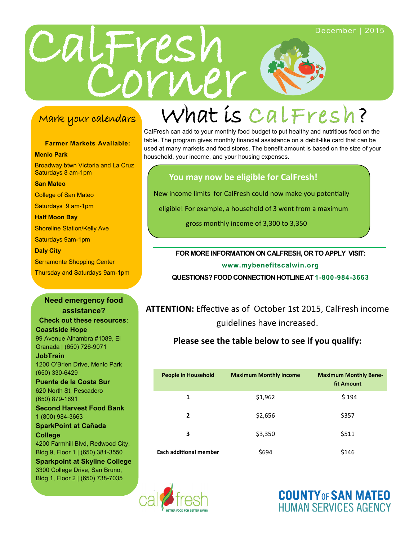

### Mark your calendars

**Farmer Markets Available:**

**Menlo Park**

CalFresh can add to your monthly food budget to put healthy and nutritious food on the table. The program gives monthly financial assistance on a debit-like card that can be used at many markets and food stores. The benefit amount is based on the size of your household, your income, and your housing expenses.

#### **You may now be eligible for CalFresh!**

New income limits for CalFresh could now make you potentially

eligible! For example, a household of 3 went from a maximum

gross monthly income of 3,300 to 3,350

#### **FOR MORE INFORMATION ON CALFRESH, OR TO APPLY VISIT:**

**www.mybenefitscalwin.org**

**QUESTIONS? FOOD CONNECTION HOTLINE AT 1-800-984-3663**

**ATTENTION:** Effective as of October 1st 2015, CalFresh income guidelines have increased.

#### **Please see the table below to see if you qualify:**

| <b>People in Household</b>    | <b>Maximum Monthly income</b> | <b>Maximum Monthly Bene-</b><br>fit Amount |
|-------------------------------|-------------------------------|--------------------------------------------|
| 1                             | \$1,962                       | \$194                                      |
| $\overline{2}$                | \$2,656                       | \$357                                      |
| 3                             | \$3,350                       | \$511                                      |
| <b>Each additional member</b> | \$694                         | \$146                                      |





Broadway btwn Victoria and La Cruz Saturdays 8 am-1pm **San Mateo**  College of San Mateo Saturdays 9 am-1pm **Half Moon Bay**  Shoreline Station/Kelly Ave Saturdays 9am-1pm **Daly City**  Serramonte Shopping Center Thursday and Saturdays 9am-1pm

#### **Need emergency food assistance?**

**Check out these resources**:

**Coastside Hope** 99 Avenue Alhambra #1089, El Granada | (650) 726-9071

**JobTrain** 1200 O'Brien Drive, Menlo Park (650) 330-6429

**Puente de la Costa Sur** 620 North St, Pescadero (650) 879-1691

**Second Harvest Food Bank** 1 (800) 984-3663

**SparkPoint at Cañada College**

4200 Farmhill Blvd, Redwood City, Bldg 9, Floor 1 | (650) 381-3550

**Sparkpoint at Skyline College** 3300 College Drive, San Bruno, Bldg 1, Floor 2 | (650) 738-7035